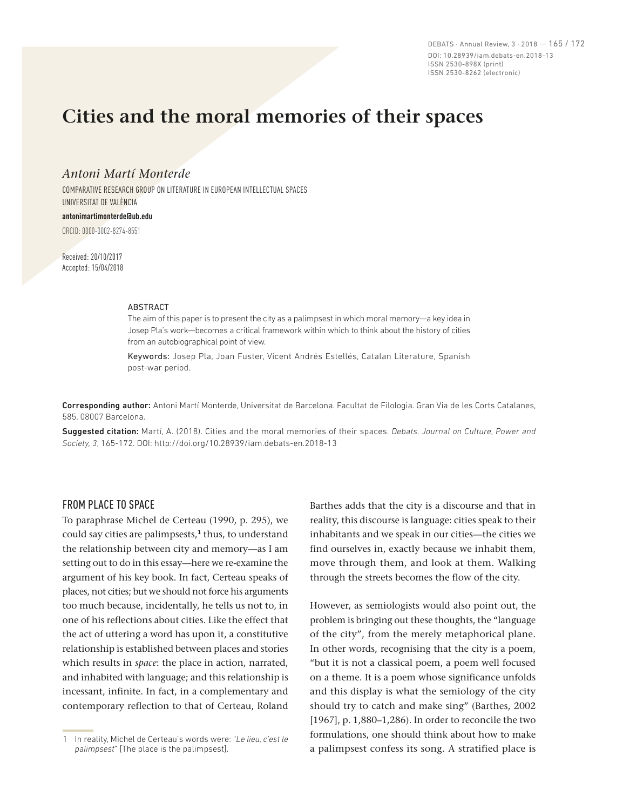DEBATS · Annual Review, 3 · 2018 — 165 / 172 DOI: 10.28939/iam.debats-en.2018-13 ISSN 2530-898X (print) ISSN 2530-8262 (electronic)

# **Cities and the moral memories of their spaces**

# *Antoni Martí Monterde*

COMPARATIVE RESEARCH GROUP ON LITERATURE IN EUROPEAN INTELLECTUAL SPACES UNIVERSITAT DE VALÈNCIA

#### **antonimartimonterde@ub.edu**

ORCID: 0000-0002-8274-8551

Received: 20/10/2017 Accepted: 15/04/2018

#### **ABSTRACT**

The aim of this paper is to present the city as a palimpsest in which moral memory—a key idea in Josep Pla's work—becomes a critical framework within which to think about the history of cities from an autobiographical point of view.

Keywords: Josep Pla, Joan Fuster, Vicent Andrés Estellés, Catalan Literature, Spanish post-war period.

Corresponding author: Antoni Martí Monterde, Universitat de Barcelona. Facultat de Filologia. Gran Via de les Corts Catalanes, 585. 08007 Barcelona.

Suggested citation: Martí, A. (2018). Cities and the moral memories of their spaces. *Debats. Journal on Culture, Power and Society, 3*, 165-172. DOI: http://doi.org/10.28939/iam.debats-en.2018-13

# FROM PLACE TO SPACE

To paraphrase Michel de Certeau (1990, p. 295), we could say cities are palimpsests,**<sup>1</sup>** thus, to understand the relationship between city and memory—as I am setting out to do in this essay—here we re-examine the argument of his key book. In fact, Certeau speaks of places, not cities; but we should not force his arguments too much because, incidentally, he tells us not to, in one of his reflections about cities. Like the effect that the act of uttering a word has upon it, a constitutive relationship is established between places and stories which results in *space*: the place in action, narrated, and inhabited with language; and this relationship is incessant, infinite. In fact, in a complementary and contemporary reflection to that of Certeau, Roland

Barthes adds that the city is a discourse and that in reality, this discourse is language: cities speak to their inhabitants and we speak in our cities—the cities we find ourselves in, exactly because we inhabit them, move through them, and look at them. Walking through the streets becomes the flow of the city.

However, as semiologists would also point out, the problem is bringing out these thoughts, the "language of the city", from the merely metaphorical plane. In other words, recognising that the city is a poem, "but it is not a classical poem, a poem well focused on a theme. It is a poem whose significance unfolds and this display is what the semiology of the city should try to catch and make sing" (Barthes, 2002 [1967], p. 1,880–1,286). In order to reconcile the two formulations, one should think about how to make a palimpsest confess its song. A stratified place is

<sup>1</sup> In reality, Michel de Certeau's words were: "*Le lieu, c'est le palimpsest*" [The place is the palimpsest].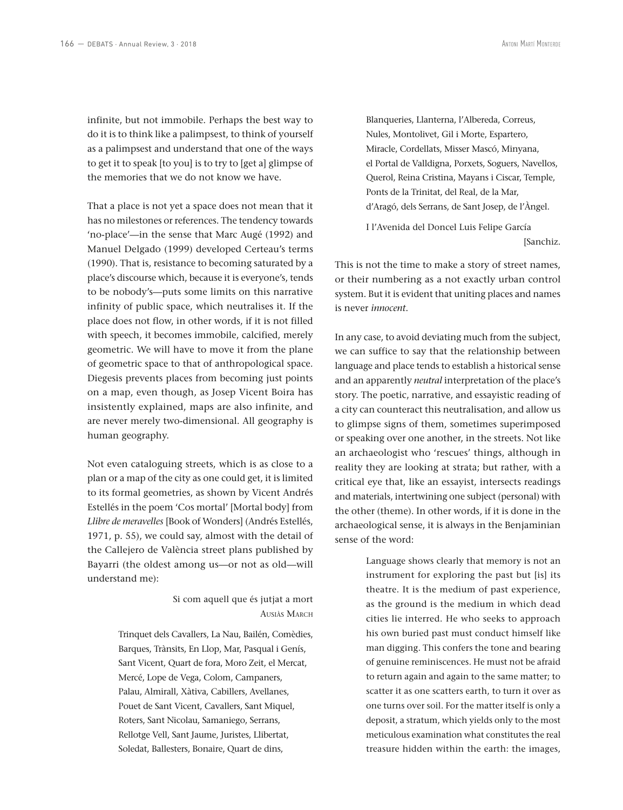infinite, but not immobile. Perhaps the best way to do it is to think like a palimpsest, to think of yourself as a palimpsest and understand that one of the ways to get it to speak [to you] is to try to [get a] glimpse of the memories that we do not know we have.

That a place is not yet a space does not mean that it has no milestones or references. The tendency towards 'no-place'—in the sense that Marc Augé (1992) and Manuel Delgado (1999) developed Certeau's terms (1990). That is, resistance to becoming saturated by a place's discourse which, because it is everyone's, tends to be nobody's—puts some limits on this narrative infinity of public space, which neutralises it. If the place does not flow, in other words, if it is not filled with speech, it becomes immobile, calcified, merely geometric. We will have to move it from the plane of geometric space to that of anthropological space. Diegesis prevents places from becoming just points on a map, even though, as Josep Vicent Boira has insistently explained, maps are also infinite, and are never merely two-dimensional. All geography is human geography.

Not even cataloguing streets, which is as close to a plan or a map of the city as one could get, it is limited to its formal geometries, as shown by Vicent Andrés Estellés in the poem 'Cos mortal' [Mortal body] from *Llibre de meravelles* [Book of Wonders] (Andrés Estellés, 1971, p. 55), we could say, almost with the detail of the Callejero de València street plans published by Bayarri (the oldest among us—or not as old—will understand me):

> Si com aquell que és jutjat a mort Ausiàs March

Trinquet dels Cavallers, La Nau, Bailén, Comèdies, Barques, Trànsits, En Llop, Mar, Pasqual i Genís, Sant Vicent, Quart de fora, Moro Zeit, el Mercat, Mercé, Lope de Vega, Colom, Campaners, Palau, Almirall, Xàtiva, Cabillers, Avellanes, Pouet de Sant Vicent, Cavallers, Sant Miquel, Roters, Sant Nicolau, Samaniego, Serrans, Rellotge Vell, Sant Jaume, Juristes, Llibertat, Soledat, Ballesters, Bonaire, Quart de dins,

Blanqueries, Llanterna, l'Albereda, Correus, Nules, Montolivet, Gil i Morte, Espartero, Miracle, Cordellats, Misser Mascó, Minyana, el Portal de Valldigna, Porxets, Soguers, Navellos, Querol, Reina Cristina, Mayans i Ciscar, Temple, Ponts de la Trinitat, del Real, de la Mar, d'Aragó, dels Serrans, de Sant Josep, de l'Àngel.

I l'Avenida del Doncel Luis Felipe García [Sanchiz.

This is not the time to make a story of street names, or their numbering as a not exactly urban control system. But it is evident that uniting places and names is never *innocent*.

In any case, to avoid deviating much from the subject, we can suffice to say that the relationship between language and place tends to establish a historical sense and an apparently *neutral* interpretation of the place's story. The poetic, narrative, and essayistic reading of a city can counteract this neutralisation, and allow us to glimpse signs of them, sometimes superimposed or speaking over one another, in the streets. Not like an archaeologist who 'rescues' things, although in reality they are looking at strata; but rather, with a critical eye that, like an essayist, intersects readings and materials, intertwining one subject (personal) with the other (theme). In other words, if it is done in the archaeological sense, it is always in the Benjaminian sense of the word:

> Language shows clearly that memory is not an instrument for exploring the past but [is] its theatre. It is the medium of past experience, as the ground is the medium in which dead cities lie interred. He who seeks to approach his own buried past must conduct himself like man digging. This confers the tone and bearing of genuine reminiscences. He must not be afraid to return again and again to the same matter; to scatter it as one scatters earth, to turn it over as one turns over soil. For the matter itself is only a deposit, a stratum, which yields only to the most meticulous examination what constitutes the real treasure hidden within the earth: the images,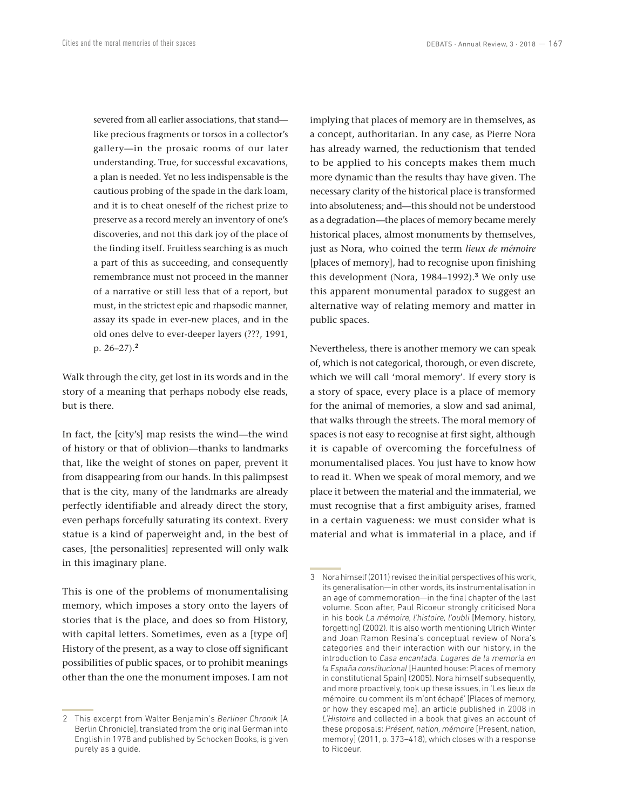severed from all earlier associations, that stand like precious fragments or torsos in a collector's gallery—in the prosaic rooms of our later understanding. True, for successful excavations, a plan is needed. Yet no less indispensable is the cautious probing of the spade in the dark loam, and it is to cheat oneself of the richest prize to preserve as a record merely an inventory of one's discoveries, and not this dark joy of the place of the finding itself. Fruitless searching is as much a part of this as succeeding, and consequently remembrance must not proceed in the manner of a narrative or still less that of a report, but must, in the strictest epic and rhapsodic manner, assay its spade in ever-new places, and in the old ones delve to ever-deeper layers (???, 1991, p. 26–27).**<sup>2</sup>**

Walk through the city, get lost in its words and in the story of a meaning that perhaps nobody else reads, but is there.

In fact, the [city's] map resists the wind—the wind of history or that of oblivion—thanks to landmarks that, like the weight of stones on paper, prevent it from disappearing from our hands. In this palimpsest that is the city, many of the landmarks are already perfectly identifiable and already direct the story, even perhaps forcefully saturating its context. Every statue is a kind of paperweight and, in the best of cases, [the personalities] represented will only walk in this imaginary plane.

This is one of the problems of monumentalising memory, which imposes a story onto the layers of stories that is the place, and does so from History, with capital letters. Sometimes, even as a [type of] History of the present, as a way to close off significant possibilities of public spaces, or to prohibit meanings other than the one the monument imposes. I am not implying that places of memory are in themselves, as a concept, authoritarian. In any case, as Pierre Nora has already warned, the reductionism that tended to be applied to his concepts makes them much more dynamic than the results thay have given. The necessary clarity of the historical place is transformed into absoluteness; and—this should not be understood as a degradation—the places of memory became merely historical places, almost monuments by themselves, just as Nora, who coined the term *lieux de mémoire*  [places of memory], had to recognise upon finishing this development (Nora, 1984–1992).**<sup>3</sup>** We only use this apparent monumental paradox to suggest an alternative way of relating memory and matter in public spaces.

Nevertheless, there is another memory we can speak of, which is not categorical, thorough, or even discrete, which we will call 'moral memory'. If every story is a story of space, every place is a place of memory for the animal of memories, a slow and sad animal, that walks through the streets. The moral memory of spaces is not easy to recognise at first sight, although it is capable of overcoming the forcefulness of monumentalised places. You just have to know how to read it. When we speak of moral memory, and we place it between the material and the immaterial, we must recognise that a first ambiguity arises, framed in a certain vagueness: we must consider what is material and what is immaterial in a place, and if

<sup>2</sup> This excerpt from Walter Benjamin's *Berliner Chronik* [A Berlin Chronicle], translated from the original German into English in 1978 and published by Schocken Books, is given purely as a guide.

<sup>3</sup> Nora himself (2011) revised the initial perspectives of his work, its generalisation—in other words, its instrumentalisation in an age of commemoration—in the final chapter of the last volume. Soon after, Paul Ricoeur strongly criticised Nora in his book *La mémoire, l'histoire, l'oubli* [Memory, history, forgetting] (2002). It is also worth mentioning Ulrich Winter and Joan Ramon Resina's conceptual review of Nora's categories and their interaction with our history, in the introduction to *Casa encantada. Lugares de la memoria en la España constitucional* [Haunted house: Places of memory in constitutional Spain] (2005). Nora himself subsequently, and more proactively, took up these issues, in 'Les lieux de mémoire, ou comment ils m'ont échapé' [Places of memory, or how they escaped me], an article published in 2008 in *L'Histoire* and collected in a book that gives an account of these proposals: *Présent, nation, mémoire* [Present, nation, memory] (2011, p. 373–418), which closes with a response to Ricoeur.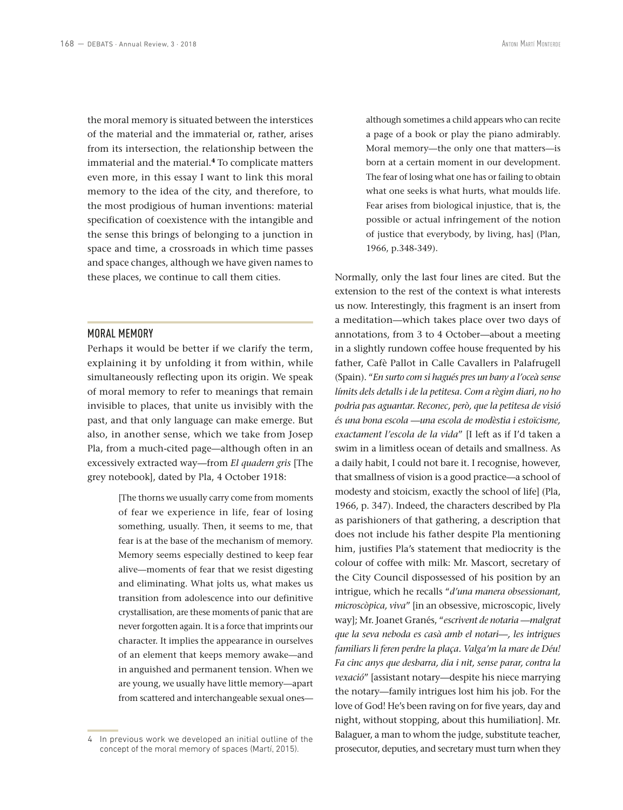the moral memory is situated between the interstices of the material and the immaterial or, rather, arises from its intersection, the relationship between the immaterial and the material.**<sup>4</sup>** To complicate matters even more, in this essay I want to link this moral memory to the idea of the city, and therefore, to the most prodigious of human inventions: material specification of coexistence with the intangible and the sense this brings of belonging to a junction in space and time, a crossroads in which time passes and space changes, although we have given names to these places, we continue to call them cities.

## MORAL MEMORY

Perhaps it would be better if we clarify the term, explaining it by unfolding it from within, while simultaneously reflecting upon its origin. We speak of moral memory to refer to meanings that remain invisible to places, that unite us invisibly with the past, and that only language can make emerge. But also, in another sense, which we take from Josep Pla, from a much-cited page—although often in an excessively extracted way—from *El quadern gris* [The grey notebook], dated by Pla, 4 October 1918:

> [The thorns we usually carry come from moments of fear we experience in life, fear of losing something, usually. Then, it seems to me, that fear is at the base of the mechanism of memory. Memory seems especially destined to keep fear alive—moments of fear that we resist digesting and eliminating. What jolts us, what makes us transition from adolescence into our definitive crystallisation, are these moments of panic that are never forgotten again. It is a force that imprints our character. It implies the appearance in ourselves of an element that keeps memory awake—and in anguished and permanent tension. When we are young, we usually have little memory—apart from scattered and interchangeable sexual ones

although sometimes a child appears who can recite a page of a book or play the piano admirably. Moral memory—the only one that matters—is born at a certain moment in our development. The fear of losing what one has or failing to obtain what one seeks is what hurts, what moulds life. Fear arises from biological injustice, that is, the possible or actual infringement of the notion of justice that everybody, by living, has] (Plan, 1966, p.348-349).

Normally, only the last four lines are cited. But the extension to the rest of the context is what interests us now. Interestingly, this fragment is an insert from a meditation—which takes place over two days of annotations, from 3 to 4 October—about a meeting in a slightly rundown coffee house frequented by his father, Cafè Pallot in Calle Cavallers in Palafrugell (Spain). "*En surto com si hagués pres un bany a l'oceà sense límits dels detalls i de la petitesa. Com a règim diari, no ho podria pas aguantar. Reconec, però, que la petitesa de visió és una bona escola —una escola de modèstia i estoïcisme, exactament l'escola de la vida*" [I left as if I'd taken a swim in a limitless ocean of details and smallness. As a daily habit, I could not bare it. I recognise, however, that smallness of vision is a good practice—a school of modesty and stoicism, exactly the school of life] (Pla, 1966, p. 347). Indeed, the characters described by Pla as parishioners of that gathering, a description that does not include his father despite Pla mentioning him, justifies Pla's statement that mediocrity is the colour of coffee with milk: Mr. Mascort, secretary of the City Council dispossessed of his position by an intrigue, which he recalls "*d'una manera obsessionant, microscòpica, viva*" [in an obsessive, microscopic, lively way]; Mr. Joanet Granés, "*escrivent de notaria —malgrat que la seva neboda es casà amb el notari—, les intrigues familiars li feren perdre la plaça. Valga'm la mare de Déu! Fa cinc anys que desbarra, dia i nit, sense parar, contra la vexació*" [assistant notary—despite his niece marrying the notary—family intrigues lost him his job. For the love of God! He's been raving on for five years, day and night, without stopping, about this humiliation]. Mr. Balaguer, a man to whom the judge, substitute teacher, prosecutor, deputies, and secretary must turn when they

<sup>4</sup> In previous work we developed an initial outline of the concept of the moral memory of spaces (Martí, 2015).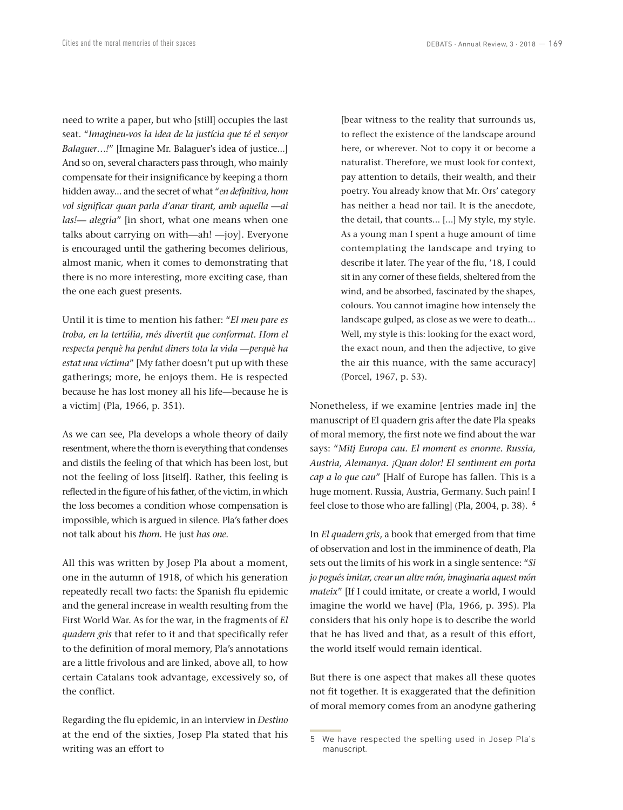need to write a paper, but who [still] occupies the last seat. "*Imagineu-vos la idea de la justícia que té el senyor Balaguer…!*" [Imagine Mr. Balaguer's idea of justice...] And so on, several characters pass through, who mainly compensate for their insignificance by keeping a thorn hidden away... and the secret of what "*en definitiva, hom vol significar quan parla d'anar tirant, amb aquella —ai las!— alegria*" [in short, what one means when one talks about carrying on with—ah! —joy]. Everyone is encouraged until the gathering becomes delirious, almost manic, when it comes to demonstrating that there is no more interesting, more exciting case, than the one each guest presents.

Until it is time to mention his father: "*El meu pare es troba, en la tertúlia, més divertit que conformat. Hom el respecta perquè ha perdut diners tota la vida —perquè ha estat una víctima*" [My father doesn't put up with these gatherings; more, he enjoys them. He is respected because he has lost money all his life—because he is a victim] (Pla, 1966, p. 351).

As we can see, Pla develops a whole theory of daily resentment, where the thorn is everything that condenses and distils the feeling of that which has been lost, but not the feeling of loss [itself]. Rather, this feeling is reflected in the figure of his father, of the victim, in which the loss becomes a condition whose compensation is impossible, which is argued in silence. Pla's father does not talk about his *thorn*. He just *has one*.

All this was written by Josep Pla about a moment, one in the autumn of 1918, of which his generation repeatedly recall two facts: the Spanish flu epidemic and the general increase in wealth resulting from the First World War. As for the war, in the fragments of *El quadern gris* that refer to it and that specifically refer to the definition of moral memory, Pla's annotations are a little frivolous and are linked, above all, to how certain Catalans took advantage, excessively so, of the conflict.

Regarding the flu epidemic, in an interview in *Destino* at the end of the sixties, Josep Pla stated that his writing was an effort to

[bear witness to the reality that surrounds us, to reflect the existence of the landscape around here, or wherever. Not to copy it or become a naturalist. Therefore, we must look for context, pay attention to details, their wealth, and their poetry. You already know that Mr. Ors' category has neither a head nor tail. It is the anecdote, the detail, that counts... [...] My style, my style. As a young man I spent a huge amount of time contemplating the landscape and trying to describe it later. The year of the flu, '18, I could sit in any corner of these fields, sheltered from the wind, and be absorbed, fascinated by the shapes, colours. You cannot imagine how intensely the landscape gulped, as close as we were to death... Well, my style is this: looking for the exact word, the exact noun, and then the adjective, to give the air this nuance, with the same accuracy] (Porcel, 1967, p. 53).

Nonetheless, if we examine [entries made in] the manuscript of El quadern gris after the date Pla speaks of moral memory, the first note we find about the war says: "*Mitj Europa cau. El moment es enorme. Russia, Austria, Alemanya. ¡Quan dolor! El sentiment em porta cap a lo que cau*" [Half of Europe has fallen. This is a huge moment. Russia, Austria, Germany. Such pain! I feel close to those who are falling] (Pla, 2004, p. 38). **<sup>5</sup>**

In *El quadern gris*, a book that emerged from that time of observation and lost in the imminence of death, Pla sets out the limits of his work in a single sentence: "*Si jo pogués imitar, crear un altre món, imaginaria aquest món mateix*" [If I could imitate, or create a world, I would imagine the world we have] (Pla, 1966, p. 395). Pla considers that his only hope is to describe the world that he has lived and that, as a result of this effort, the world itself would remain identical.

But there is one aspect that makes all these quotes not fit together. It is exaggerated that the definition of moral memory comes from an anodyne gathering

<sup>5</sup> We have respected the spelling used in Josep Pla's manuscript.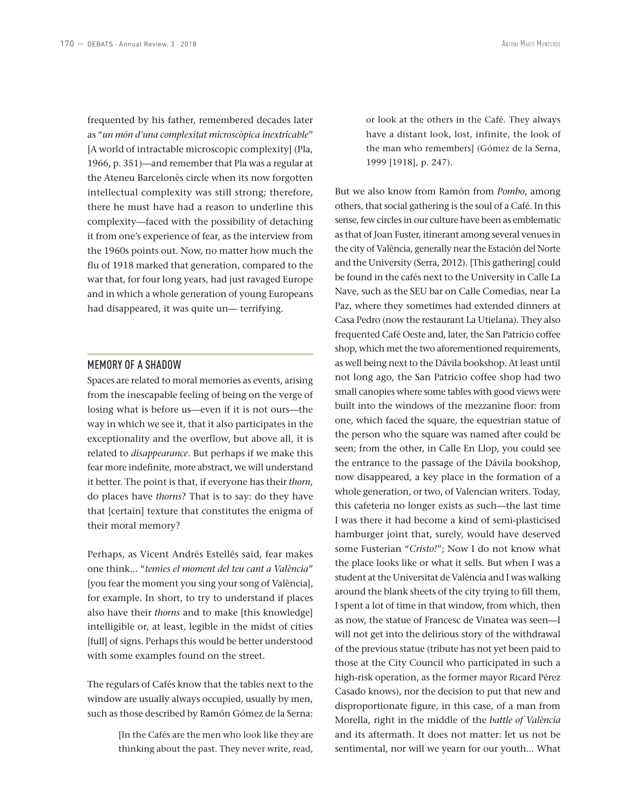frequented by his father, remembered decades later as "*un món d'una complexitat microscòpica inextricable*" [A world of intractable microscopic complexity] (Pla, 1966, p. 351)—and remember that Pla was a regular at the Ateneu Barcelonès circle when its now forgotten intellectual complexity was still strong; therefore, there he must have had a reason to underline this complexity—faced with the possibility of detaching it from one's experience of fear, as the interview from the 1960s points out. Now, no matter how much the flu of 1918 marked that generation, compared to the war that, for four long years, had just ravaged Europe and in which a whole generation of young Europeans had disappeared, it was quite un— terrifying.

## MEMORY OF A SHADOW

Spaces are related to moral memories as events, arising from the inescapable feeling of being on the verge of losing what is before us—even if it is not ours—the way in which we see it, that it also participates in the exceptionality and the overflow, but above all, it is related to *disappearance*. But perhaps if we make this fear more indefinite, more abstract, we will understand it better. The point is that, if everyone has their *thorn*, do places have *thorns*? That is to say: do they have that [certain] texture that constitutes the enigma of their moral memory?

Perhaps, as Vicent Andrés Estellés said, fear makes one think... "*temies el moment del teu cant a València*" [you fear the moment you sing your song of València], for example. In short, to try to understand if places also have their *thorns* and to make [this knowledge] intelligible or, at least, legible in the midst of cities [full] of signs. Perhaps this would be better understood with some examples found on the street.

The regulars of Cafés know that the tables next to the window are usually always occupied, usually by men, such as those described by Ramón Gómez de la Serna:

> [In the Cafés are the men who look like they are thinking about the past. They never write, read,

or look at the others in the Café. They always have a distant look, lost, infinite, the look of the man who remembers] (Gómez de la Serna, 1999 [1918], p. 247).

But we also know from Ramón from *Pombo*, among others, that social gathering is the soul of a Café. In this sense, few circles in our culture have been as emblematic as that of Joan Fuster, itinerant among several venues in the city of València, generally near the Estación del Norte and the University (Serra, 2012). [This gathering] could be found in the cafés next to the University in Calle La Nave, such as the SEU bar on Calle Comedias, near La Paz, where they sometimes had extended dinners at Casa Pedro (now the restaurant La Utielana). They also frequented Café Oeste and, later, the San Patricio coffee shop, which met the two aforementioned requirements, as well being next to the Dávila bookshop. At least until not long ago, the San Patricio coffee shop had two small canopies where some tables with good views were built into the windows of the mezzanine floor: from one, which faced the square, the equestrian statue of the person who the square was named after could be seen; from the other, in Calle En Llop, you could see the entrance to the passage of the Dávila bookshop, now disappeared, a key place in the formation of a whole generation, or two, of Valencian writers. Today, this cafeteria no longer exists as such—the last time I was there it had become a kind of semi-plasticised hamburger joint that, surely, would have deserved some Fusterian "*Cristo!*"; Now I do not know what the place looks like or what it sells. But when I was a student at the Universitat de València and I was walking around the blank sheets of the city trying to fill them, I spent a lot of time in that window, from which, then as now, the statue of Francesc de Vinatea was seen—I will not get into the delirious story of the withdrawal of the previous statue (tribute has not yet been paid to those at the City Council who participated in such a high-risk operation, as the former mayor Ricard Pérez Casado knows), nor the decision to put that new and disproportionate figure, in this case, of a man from Morella, right in the middle of the *battle of València* and its aftermath. It does not matter: let us not be sentimental, nor will we yearn for our youth... What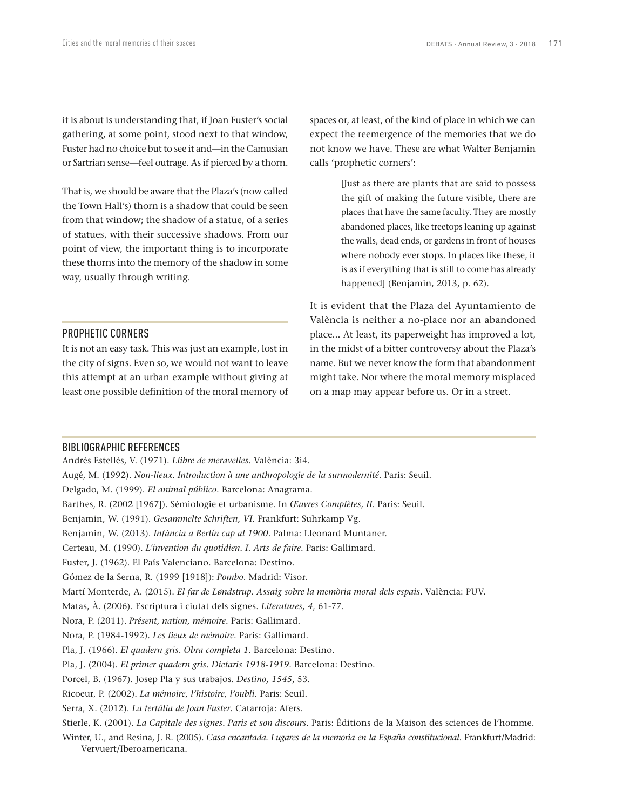it is about is understanding that, if Joan Fuster's social gathering, at some point, stood next to that window, Fuster had no choice but to see it and—in the Camusian or Sartrian sense—feel outrage. As if pierced by a thorn.

That is, we should be aware that the Plaza's (now called the Town Hall's) thorn is a shadow that could be seen from that window; the shadow of a statue, of a series of statues, with their successive shadows. From our point of view, the important thing is to incorporate these thorns into the memory of the shadow in some way, usually through writing.

# PROPHETIC CORNERS

It is not an easy task. This was just an example, lost in the city of signs. Even so, we would not want to leave this attempt at an urban example without giving at least one possible definition of the moral memory of spaces or, at least, of the kind of place in which we can expect the reemergence of the memories that we do not know we have. These are what Walter Benjamin calls 'prophetic corners':

> [Just as there are plants that are said to possess the gift of making the future visible, there are places that have the same faculty. They are mostly abandoned places, like treetops leaning up against the walls, dead ends, or gardens in front of houses where nobody ever stops. In places like these, it is as if everything that is still to come has already happened] (Benjamin, 2013, p. 62).

It is evident that the Plaza del Ayuntamiento de València is neither a no-place nor an abandoned place... At least, its paperweight has improved a lot, in the midst of a bitter controversy about the Plaza's name. But we never know the form that abandonment might take. Nor where the moral memory misplaced on a map may appear before us. Or in a street.

#### BIBLIOGRAPHIC REFERENCES

Andrés Estellés, V. (1971). *Llibre de meravelles*. València: 3i4. Augé, M. (1992). *Non-lieux. Introduction à une anthropologie de la surmodernité*. Paris: Seuil. Delgado, M. (1999). *El animal público*. Barcelona: Anagrama. Barthes, R. (2002 [1967]). Sémiologie et urbanisme. In *Œuvres Complètes, II*. Paris: Seuil. Benjamin, W. (1991). *Gesammelte Schriften, VI*. Frankfurt: Suhrkamp Vg. Benjamin, W. (2013). *Infància a Berlín cap al 1900*. Palma: Lleonard Muntaner. Certeau, M. (1990). *L'invention du quotidien. I. Arts de faire*. Paris: Gallimard. Fuster, J. (1962). El País Valenciano. Barcelona: Destino. Gómez de la Serna, R. (1999 [1918]): *Pombo*. Madrid: Visor. Martí Monterde, A. (2015). *El far de Løndstrup. Assaig sobre la memòria moral dels espais*. València: PUV. Matas, À. (2006). Escriptura i ciutat dels signes. *Literatures*, *4*, 61-77. Nora, P. (2011). *Présent, nation, mémoire*. Paris: Gallimard. Nora, P. (1984-1992). *Les lieux de mémoire*. Paris: Gallimard. Pla, J. (1966). *El quadern gris*. *Obra completa 1*. Barcelona: Destino. Pla, J. (2004). *El primer quadern gris. Dietaris 1918-1919*. Barcelona: Destino. Porcel, B. (1967). Josep Pla y sus trabajos. *Destino, 1545*, 53. Ricoeur, P. (2002). *La mémoire, l'histoire, l'oubli*. Paris: Seuil. Serra, X. (2012). *La tertúlia de Joan Fuster*. Catarroja: Afers. Stierle, K. (2001). *La Capitale des signes. Paris et son discours.* Paris: Éditions de la Maison des sciences de l'homme. Winter, U., and Resina, J. R. (2005). *Casa encantada. Lugares de la memoria en la España constitucional*. Frankfurt/Madrid:

Vervuert/Iberoamericana.